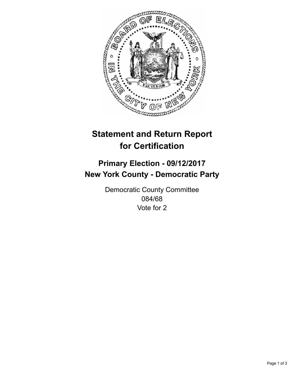

## **Statement and Return Report for Certification**

## **Primary Election - 09/12/2017 New York County - Democratic Party**

Democratic County Committee 084/68 Vote for 2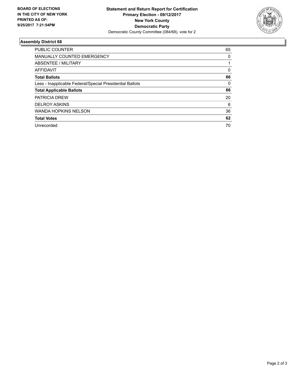

## **Assembly District 68**

| PUBLIC COUNTER                                           | 65 |
|----------------------------------------------------------|----|
| <b>MANUALLY COUNTED EMERGENCY</b>                        | 0  |
| ABSENTEE / MILITARY                                      |    |
| AFFIDAVIT                                                | 0  |
| <b>Total Ballots</b>                                     | 66 |
| Less - Inapplicable Federal/Special Presidential Ballots | 0  |
| <b>Total Applicable Ballots</b>                          | 66 |
| <b>PATRICIA DREW</b>                                     | 20 |
| <b>DELROY ASKINS</b>                                     | 6  |
| <b>WANDA HOPKINS NELSON</b>                              | 36 |
| <b>Total Votes</b>                                       | 62 |
| Unrecorded                                               | 70 |